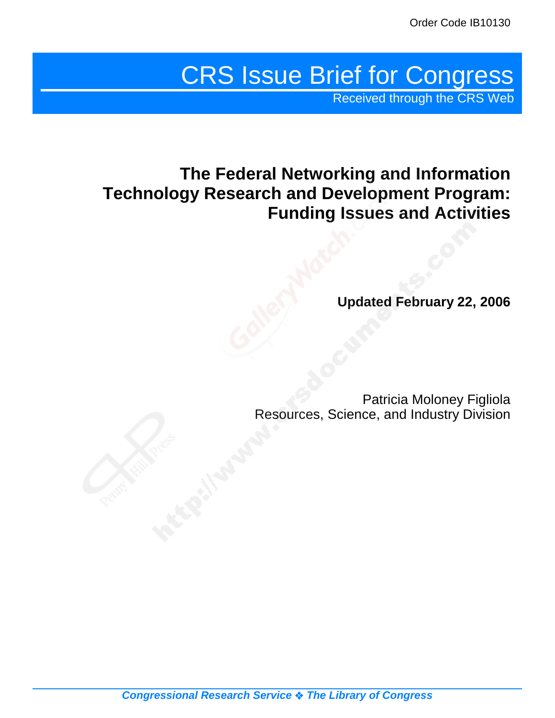# CRS Issue Brief for Congress

Received through the CRS Web

## **The Federal Networking and Information Technology Research and Development Program: Funding Issues and Activities**

**Updated February 22, 2006**

Patricia Moloney Figliola Resources, Science, and Industry Division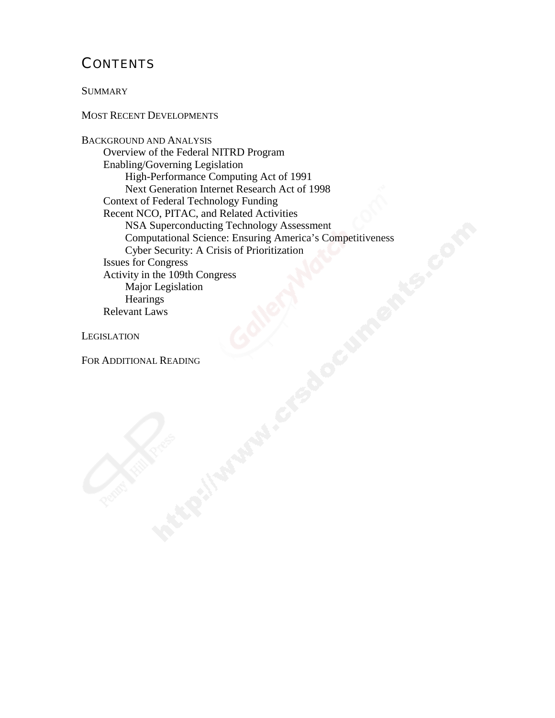## **CONTENTS**

**SUMMARY** 

#### MOST RECENT DEVELOPMENTS

BACKGROUND AND ANALYSIS Overview of the Federal NITRD Program Enabling/Governing Legislation High-Performance Computing Act of 1991 Next Generation Internet Research Act of 1998 Context of Federal Technology Funding Recent NCO, PITAC, and Related Activities NSA Superconducting Technology Assessment Computational Science: Ensuring America's Competitiveness Cyber Security: A Crisis of Prioritization Issues for Congress Activity in the 109th Congress Major Legislation **Hearings** Relevant Laws

**LEGISLATION** 

#### FOR ADDITIONAL READING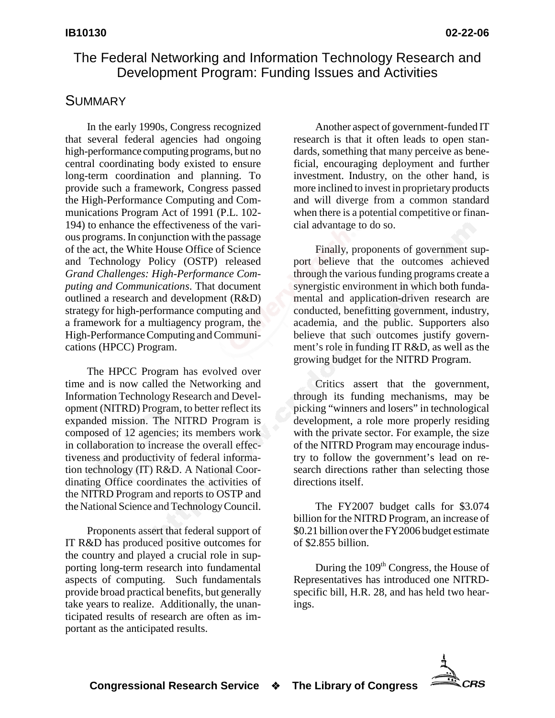## The Federal Networking and Information Technology Research and Development Program: Funding Issues and Activities

## **SUMMARY**

In the early 1990s, Congress recognized that several federal agencies had ongoing high-performance computing programs, but no central coordinating body existed to ensure long-term coordination and planning. To provide such a framework, Congress passed the High-Performance Computing and Communications Program Act of 1991 (P.L. 102- 194) to enhance the effectiveness of the various programs. In conjunction with the passage of the act, the White House Office of Science and Technology Policy (OSTP) released *Grand Challenges: High-Performance Computing and Communications*. That document outlined a research and development (R&D) strategy for high-performance computing and a framework for a multiagency program, the High-Performance Computing and Communications (HPCC) Program.

The HPCC Program has evolved over time and is now called the Networking and Information Technology Research and Development (NITRD) Program, to better reflect its expanded mission. The NITRD Program is composed of 12 agencies; its members work in collaboration to increase the overall effectiveness and productivity of federal information technology (IT) R&D. A National Coordinating Office coordinates the activities of the NITRD Program and reports to OSTP and the National Science and Technology Council.

Proponents assert that federal support of IT R&D has produced positive outcomes for the country and played a crucial role in supporting long-term research into fundamental aspects of computing. Such fundamentals provide broad practical benefits, but generally take years to realize. Additionally, the unanticipated results of research are often as important as the anticipated results.

Another aspect of government-funded IT research is that it often leads to open standards, something that many perceive as beneficial, encouraging deployment and further investment. Industry, on the other hand, is more inclined to invest in proprietary products and will diverge from a common standard when there is a potential competitive or financial advantage to do so.

Finally, proponents of government support believe that the outcomes achieved through the various funding programs create a synergistic environment in which both fundamental and application-driven research are conducted, benefitting government, industry, academia, and the public. Supporters also believe that such outcomes justify government's role in funding IT R&D, as well as the growing budget for the NITRD Program.

Critics assert that the government, through its funding mechanisms, may be picking "winners and losers" in technological development, a role more properly residing with the private sector. For example, the size of the NITRD Program may encourage industry to follow the government's lead on research directions rather than selecting those directions itself.

The FY2007 budget calls for \$3.074 billion for the NITRD Program, an increase of \$0.21 billion over the FY2006 budget estimate of \$2.855 billion.

During the 109<sup>th</sup> Congress, the House of Representatives has introduced one NITRDspecific bill, H.R. 28, and has held two hearings.

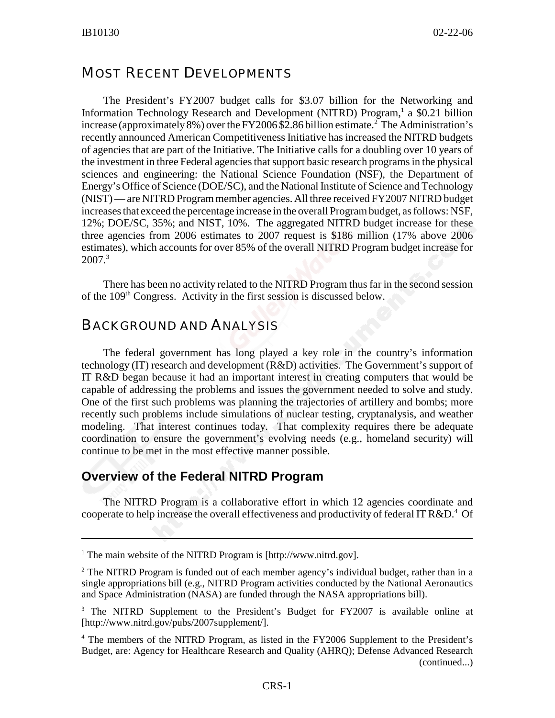### MOST RECENT DEVELOPMENTS

The President's FY2007 budget calls for \$3.07 billion for the Networking and Information Technology Research and Development (NITRD) Program,<sup>1</sup> a \$0.21 billion increase (approximately 8%) over the FY2006 \$2.86 billion estimate.<sup>2</sup> The Administration's recently announced American Competitiveness Initiative has increased the NITRD budgets of agencies that are part of the Initiative. The Initiative calls for a doubling over 10 years of the investment in three Federal agencies that support basic research programs in the physical sciences and engineering: the National Science Foundation (NSF), the Department of Energy's Office of Science (DOE/SC), and the National Institute of Science and Technology (NIST) — are NITRD Program member agencies. All three received FY2007 NITRD budget increases that exceed the percentage increase in the overall Program budget, as follows: NSF, 12%; DOE/SC, 35%; and NIST, 10%. The aggregated NITRD budget increase for these three agencies from 2006 estimates to 2007 request is \$186 million (17% above 2006 estimates), which accounts for over 85% of the overall NITRD Program budget increase for 2007.3

There has been no activity related to the NITRD Program thus far in the second session of the 109<sup>th</sup> Congress. Activity in the first session is discussed below.

## BACKGROUND AND ANALYSIS

The federal government has long played a key role in the country's information technology (IT) research and development (R&D) activities. The Government's support of IT R&D began because it had an important interest in creating computers that would be capable of addressing the problems and issues the government needed to solve and study. One of the first such problems was planning the trajectories of artillery and bombs; more recently such problems include simulations of nuclear testing, cryptanalysis, and weather modeling. That interest continues today. That complexity requires there be adequate coordination to ensure the government's evolving needs (e.g., homeland security) will continue to be met in the most effective manner possible.

#### **Overview of the Federal NITRD Program**

The NITRD Program is a collaborative effort in which 12 agencies coordinate and cooperate to help increase the overall effectiveness and productivity of federal IT R&D.<sup>4</sup> Of

<sup>&</sup>lt;sup>1</sup> The main website of the NITRD Program is [http://www.nitrd.gov].

<sup>&</sup>lt;sup>2</sup> The NITRD Program is funded out of each member agency's individual budget, rather than in a single appropriations bill (e.g., NITRD Program activities conducted by the National Aeronautics and Space Administration (NASA) are funded through the NASA appropriations bill).

<sup>&</sup>lt;sup>3</sup> The NITRD Supplement to the President's Budget for FY2007 is available online at [http://www.nitrd.gov/pubs/2007supplement/].

<sup>&</sup>lt;sup>4</sup> The members of the NITRD Program, as listed in the FY2006 Supplement to the President's Budget, are: Agency for Healthcare Research and Quality (AHRQ); Defense Advanced Research (continued...)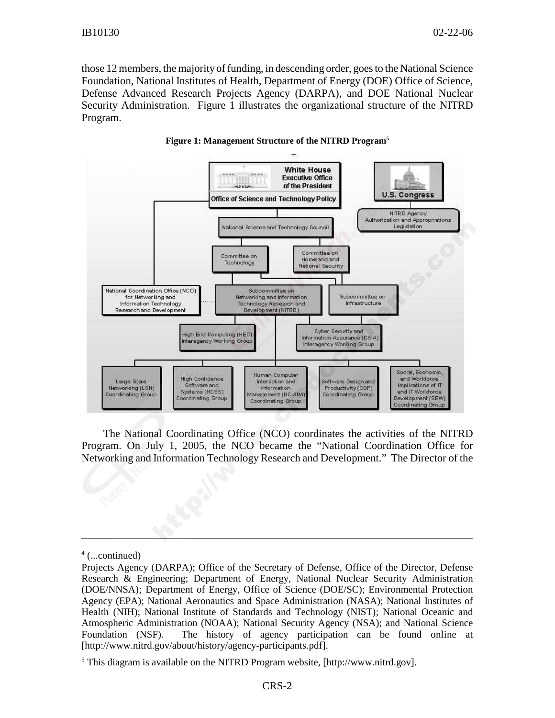those 12 members, the majority of funding, in descending order, goes to the National Science Foundation, National Institutes of Health, Department of Energy (DOE) Office of Science, Defense Advanced Research Projects Agency (DARPA), and DOE National Nuclear Security Administration. Figure 1 illustrates the organizational structure of the NITRD Program.



#### **Figure 1: Management Structure of the NITRD Program5**

The National Coordinating Office (NCO) coordinates the activities of the NITRD Program. On July 1, 2005, the NCO became the "National Coordination Office for Networking and Information Technology Research and Development." The Director of the

<sup>4</sup> (...continued)

Projects Agency (DARPA); Office of the Secretary of Defense, Office of the Director, Defense Research & Engineering; Department of Energy, National Nuclear Security Administration (DOE/NNSA); Department of Energy, Office of Science (DOE/SC); Environmental Protection Agency (EPA); National Aeronautics and Space Administration (NASA); National Institutes of Health (NIH); National Institute of Standards and Technology (NIST); National Oceanic and Atmospheric Administration (NOAA); National Security Agency (NSA); and National Science Foundation (NSF). The history of agency participation can be found online at [http://www.nitrd.gov/about/history/agency-participants.pdf].

<sup>&</sup>lt;sup>5</sup> This diagram is available on the NITRD Program website, [http://www.nitrd.gov].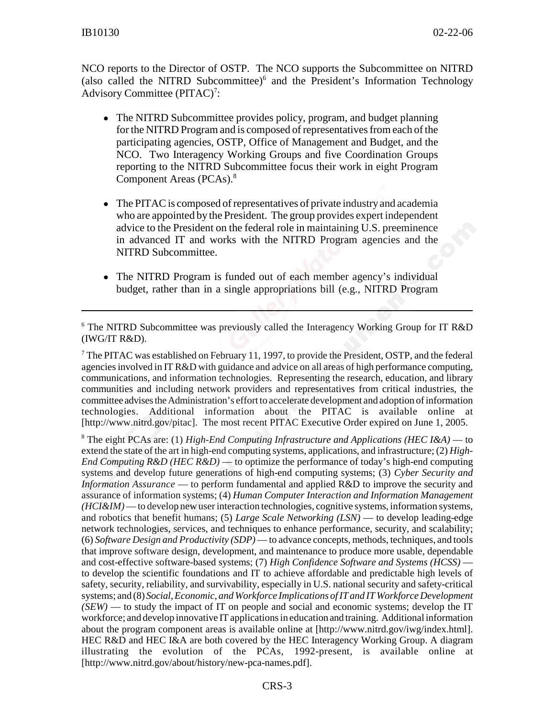NCO reports to the Director of OSTP. The NCO supports the Subcommittee on NITRD (also called the NITRD Subcommittee)<sup>6</sup> and the President's Information Technology Advisory Committee (PITAC)<sup>7</sup>:

- The NITRD Subcommittee provides policy, program, and budget planning for the NITRD Program and is composed of representatives from each of the participating agencies, OSTP, Office of Management and Budget, and the NCO. Two Interagency Working Groups and five Coordination Groups reporting to the NITRD Subcommittee focus their work in eight Program Component Areas (PCAs).8
- The PITAC is composed of representatives of private industry and academia who are appointed by the President. The group provides expert independent advice to the President on the federal role in maintaining U.S. preeminence in advanced IT and works with the NITRD Program agencies and the NITRD Subcommittee.
- The NITRD Program is funded out of each member agency's individual budget, rather than in a single appropriations bill (e.g., NITRD Program

 $7$  The PITAC was established on February 11, 1997, to provide the President, OSTP, and the federal agencies involved in IT R&D with guidance and advice on all areas of high performance computing, communications, and information technologies. Representing the research, education, and library communities and including network providers and representatives from critical industries, the committee advises the Administration's effort to accelerate development and adoption of information technologies. Additional information about the PITAC is available online at [http://www.nitrd.gov/pitac]. The most recent PITAC Executive Order expired on June 1, 2005.

8 The eight PCAs are: (1) *High-End Computing Infrastructure and Applications (HEC I&A)* — to extend the state of the art in high-end computing systems, applications, and infrastructure; (2) *High-End Computing R&D (HEC R&D)* — to optimize the performance of today's high-end computing systems and develop future generations of high-end computing systems; (3) *Cyber Security and Information Assurance* — to perform fundamental and applied R&D to improve the security and assurance of information systems; (4) *Human Computer Interaction and Information Management (HCI&IM)* — to develop new user interaction technologies, cognitive systems, information systems, and robotics that benefit humans; (5) *Large Scale Networking (LSN)* — to develop leading-edge network technologies, services, and techniques to enhance performance, security, and scalability; (6) *Software Design and Productivity (SDP)* — to advance concepts, methods, techniques, and tools that improve software design, development, and maintenance to produce more usable, dependable and cost-effective software-based systems; (7) *High Confidence Software and Systems (HCSS)* to develop the scientific foundations and IT to achieve affordable and predictable high levels of safety, security, reliability, and survivability, especially in U.S. national security and safety-critical systems; and (8) *Social, Economic, and Workforce Implications of IT and IT Workforce Development (SEW)* — to study the impact of IT on people and social and economic systems; develop the IT workforce; and develop innovative IT applications in education and training. Additional information about the program component areas is available online at [http://www.nitrd.gov/iwg/index.html]. HEC R&D and HEC I&A are both covered by the HEC Interagency Working Group. A diagram illustrating the evolution of the PCAs, 1992-present, is available online at [http://www.nitrd.gov/about/history/new-pca-names.pdf].

<sup>&</sup>lt;sup>6</sup> The NITRD Subcommittee was previously called the Interagency Working Group for IT R&D (IWG/IT R&D).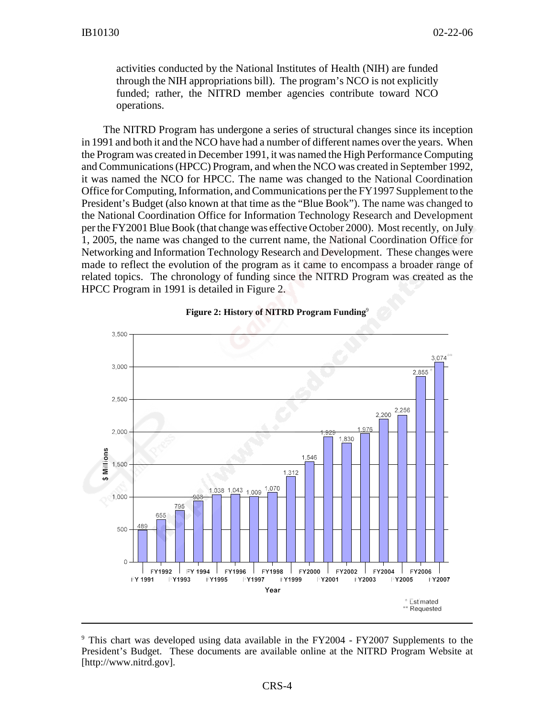activities conducted by the National Institutes of Health (NIH) are funded through the NIH appropriations bill). The program's NCO is not explicitly funded; rather, the NITRD member agencies contribute toward NCO operations.

The NITRD Program has undergone a series of structural changes since its inception in 1991 and both it and the NCO have had a number of different names over the years. When the Program was created in December 1991, it was named the High Performance Computing and Communications (HPCC) Program, and when the NCO was created in September 1992, it was named the NCO for HPCC. The name was changed to the National Coordination Office for Computing, Information, and Communications per the FY1997 Supplement to the President's Budget (also known at that time as the "Blue Book"). The name was changed to the National Coordination Office for Information Technology Research and Development per the FY2001 Blue Book (that change was effective October 2000). Most recently, on July 1, 2005, the name was changed to the current name, the National Coordination Office for Networking and Information Technology Research and Development. These changes were made to reflect the evolution of the program as it came to encompass a broader range of related topics. The chronology of funding since the NITRD Program was created as the HPCC Program in 1991 is detailed in Figure 2.



#### **Figure 2: History of NITRD Program Funding**9

<sup>&</sup>lt;sup>9</sup> This chart was developed using data available in the FY2004 - FY2007 Supplements to the President's Budget. These documents are available online at the NITRD Program Website at [http://www.nitrd.gov].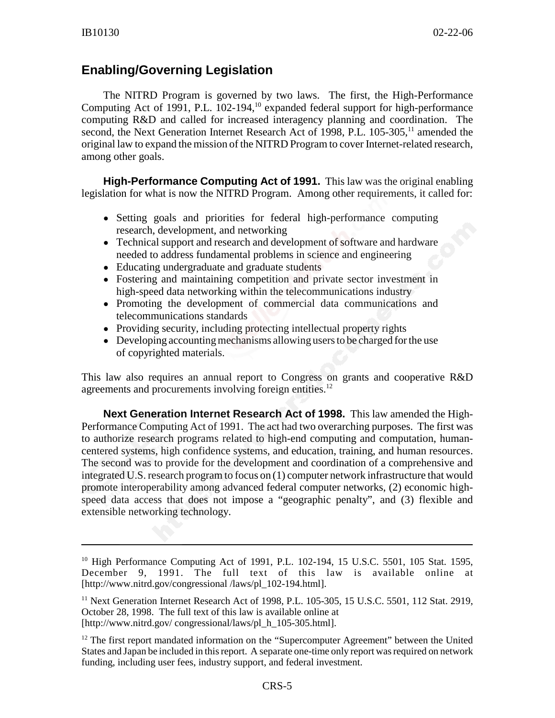## **Enabling/Governing Legislation**

The NITRD Program is governed by two laws. The first, the High-Performance Computing Act of 1991, P.L. 102-194,<sup>10</sup> expanded federal support for high-performance computing R&D and called for increased interagency planning and coordination. The second, the Next Generation Internet Research Act of 1998, P.L. 105-305,<sup>11</sup> amended the original law to expand the mission of the NITRD Program to cover Internet-related research, among other goals.

**High-Performance Computing Act of 1991.** This law was the original enabling legislation for what is now the NITRD Program. Among other requirements, it called for:

- Setting goals and priorities for federal high-performance computing research, development, and networking
- Technical support and research and development of software and hardware needed to address fundamental problems in science and engineering
- Educating undergraduate and graduate students
- ! Fostering and maintaining competition and private sector investment in high-speed data networking within the telecommunications industry
- ! Promoting the development of commercial data communications and telecommunications standards
- Providing security, including protecting intellectual property rights
- Developing accounting mechanisms allowing users to be charged for the use of copyrighted materials.

This law also requires an annual report to Congress on grants and cooperative R&D agreements and procurements involving foreign entities.<sup>12</sup>

**Next Generation Internet Research Act of 1998.** This law amended the High-Performance Computing Act of 1991. The act had two overarching purposes. The first was to authorize research programs related to high-end computing and computation, humancentered systems, high confidence systems, and education, training, and human resources. The second was to provide for the development and coordination of a comprehensive and integrated U.S. research program to focus on (1) computer network infrastructure that would promote interoperability among advanced federal computer networks, (2) economic highspeed data access that does not impose a "geographic penalty", and (3) flexible and extensible networking technology.

<sup>&</sup>lt;sup>10</sup> High Performance Computing Act of 1991, P.L. 102-194, 15 U.S.C. 5501, 105 Stat. 1595, December 9, 1991. The full text of this law is available online at [http://www.nitrd.gov/congressional /laws/pl\_102-194.html].

<sup>&</sup>lt;sup>11</sup> Next Generation Internet Research Act of 1998, P.L. 105-305, 15 U.S.C. 5501, 112 Stat. 2919, October 28, 1998. The full text of this law is available online at [http://www.nitrd.gov/ congressional/laws/pl\_h\_105-305.html].

 $12$  The first report mandated information on the "Supercomputer Agreement" between the United States and Japan be included in this report. A separate one-time only report was required on network funding, including user fees, industry support, and federal investment.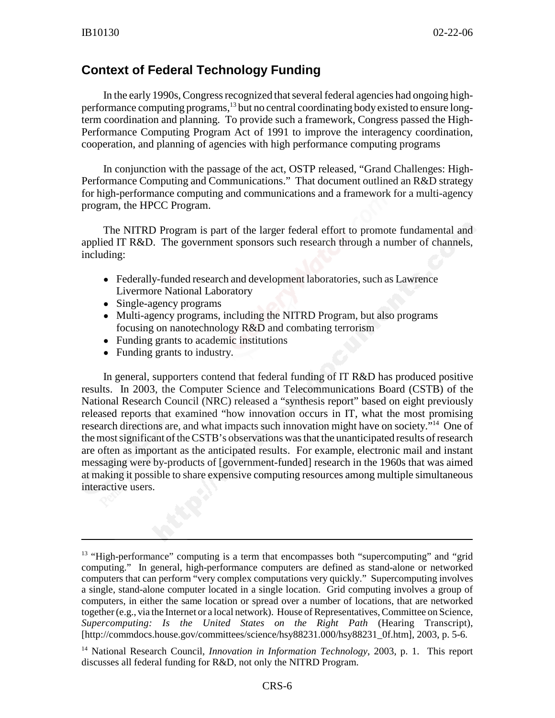## **Context of Federal Technology Funding**

In the early 1990s, Congress recognized that several federal agencies had ongoing highperformance computing programs,<sup>13</sup> but no central coordinating body existed to ensure longterm coordination and planning. To provide such a framework, Congress passed the High-Performance Computing Program Act of 1991 to improve the interagency coordination, cooperation, and planning of agencies with high performance computing programs

In conjunction with the passage of the act, OSTP released, "Grand Challenges: High-Performance Computing and Communications." That document outlined an R&D strategy for high-performance computing and communications and a framework for a multi-agency program, the HPCC Program.

The NITRD Program is part of the larger federal effort to promote fundamental and applied IT R&D. The government sponsors such research through a number of channels, including:

- ! Federally-funded research and development laboratories, such as Lawrence Livermore National Laboratory
- Single-agency programs
- Multi-agency programs, including the NITRD Program, but also programs focusing on nanotechnology R&D and combating terrorism
- Funding grants to academic institutions
- Funding grants to industry.

In general, supporters contend that federal funding of IT R&D has produced positive results. In 2003, the Computer Science and Telecommunications Board (CSTB) of the National Research Council (NRC) released a "synthesis report" based on eight previously released reports that examined "how innovation occurs in IT, what the most promising research directions are, and what impacts such innovation might have on society."<sup>14</sup> One of the most significant of the CSTB's observations was that the unanticipated results of research are often as important as the anticipated results. For example, electronic mail and instant messaging were by-products of [government-funded] research in the 1960s that was aimed at making it possible to share expensive computing resources among multiple simultaneous interactive users.

<sup>&</sup>lt;sup>13</sup> "High-performance" computing is a term that encompasses both "supercomputing" and "grid" computing." In general, high-performance computers are defined as stand-alone or networked computers that can perform "very complex computations very quickly." Supercomputing involves a single, stand-alone computer located in a single location. Grid computing involves a group of computers, in either the same location or spread over a number of locations, that are networked together (e.g., via the Internet or a local network). House of Representatives, Committee on Science, *Supercomputing: Is the United States on the Right Path* (Hearing Transcript), [http://commdocs.house.gov/committees/science/hsy88231.000/hsy88231\_0f.htm], 2003, p. 5-6.

<sup>&</sup>lt;sup>14</sup> National Research Council, *Innovation in Information Technology*, 2003, p. 1. This report discusses all federal funding for R&D, not only the NITRD Program.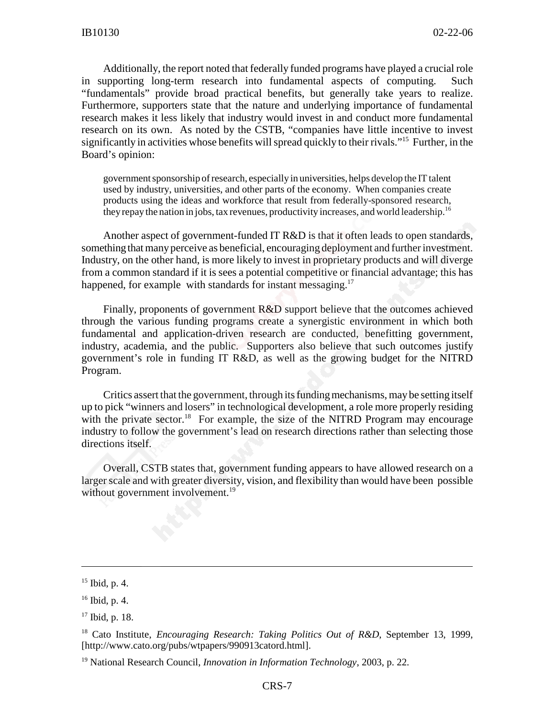Additionally, the report noted that federally funded programs have played a crucial role in supporting long-term research into fundamental aspects of computing. Such "fundamentals" provide broad practical benefits, but generally take years to realize. Furthermore, supporters state that the nature and underlying importance of fundamental research makes it less likely that industry would invest in and conduct more fundamental research on its own. As noted by the CSTB, "companies have little incentive to invest significantly in activities whose benefits will spread quickly to their rivals."<sup>15</sup> Further, in the Board's opinion:

government sponsorship of research, especially in universities, helps develop the IT talent used by industry, universities, and other parts of the economy. When companies create products using the ideas and workforce that result from federally-sponsored research, they repay the nation in jobs, tax revenues, productivity increases, and world leadership.16

Another aspect of government-funded IT R&D is that it often leads to open standards, something that many perceive as beneficial, encouraging deployment and further investment. Industry, on the other hand, is more likely to invest in proprietary products and will diverge from a common standard if it is sees a potential competitive or financial advantage; this has happened, for example with standards for instant messaging.<sup>17</sup>

Finally, proponents of government R&D support believe that the outcomes achieved through the various funding programs create a synergistic environment in which both fundamental and application-driven research are conducted, benefitting government, industry, academia, and the public. Supporters also believe that such outcomes justify government's role in funding IT R&D, as well as the growing budget for the NITRD Program.

Critics assert that the government, through its funding mechanisms, may be setting itself up to pick "winners and losers" in technological development, a role more properly residing with the private sector.<sup>18</sup> For example, the size of the NITRD Program may encourage industry to follow the government's lead on research directions rather than selecting those directions itself.

Overall, CSTB states that, government funding appears to have allowed research on a larger scale and with greater diversity, vision, and flexibility than would have been possible without government involvement.<sup>19</sup>

 $15$  Ibid, p. 4.

 $16$  Ibid, p. 4.

 $17$  Ibid, p. 18.

<sup>&</sup>lt;sup>18</sup> Cato Institute, *Encouraging Research: Taking Politics Out of R&D*, September 13, 1999, [http://www.cato.org/pubs/wtpapers/990913catord.html].

<sup>19</sup> National Research Council, *Innovation in Information Technology*, 2003, p. 22.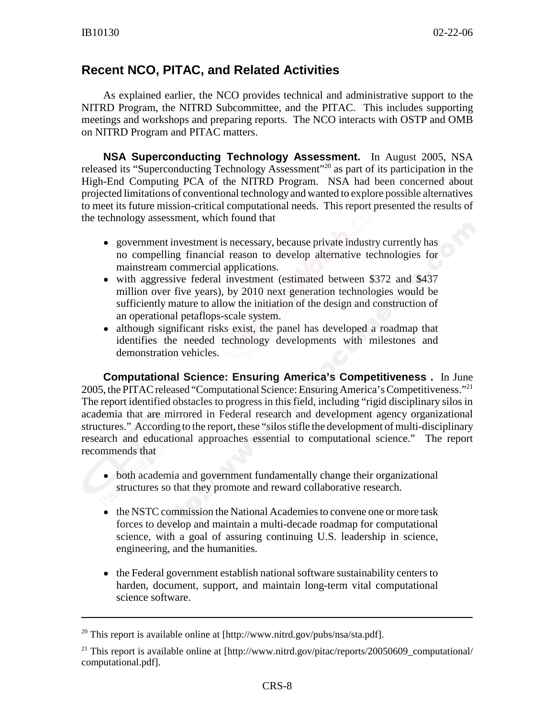### **Recent NCO, PITAC, and Related Activities**

As explained earlier, the NCO provides technical and administrative support to the NITRD Program, the NITRD Subcommittee, and the PITAC. This includes supporting meetings and workshops and preparing reports. The NCO interacts with OSTP and OMB on NITRD Program and PITAC matters.

**NSA Superconducting Technology Assessment.** In August 2005, NSA released its "Superconducting Technology Assessment"20 as part of its participation in the High-End Computing PCA of the NITRD Program. NSA had been concerned about projected limitations of conventional technology and wanted to explore possible alternatives to meet its future mission-critical computational needs. This report presented the results of the technology assessment, which found that

- government investment is necessary, because private industry currently has no compelling financial reason to develop alternative technologies for mainstream commercial applications.
- with aggressive federal investment (estimated between \$372 and \$437 million over five years), by 2010 next generation technologies would be sufficiently mature to allow the initiation of the design and construction of an operational petaflops-scale system.
- although significant risks exist, the panel has developed a roadmap that identifies the needed technology developments with milestones and demonstration vehicles.

**Computational Science: Ensuring America's Competitiveness .** In June 2005, the PITAC released "Computational Science: Ensuring America's Competitiveness."21 The report identified obstacles to progress in this field, including "rigid disciplinary silos in academia that are mirrored in Federal research and development agency organizational structures." According to the report, these "silos stifle the development of multi-disciplinary research and educational approaches essential to computational science." The report recommends that

- both academia and government fundamentally change their organizational structures so that they promote and reward collaborative research.
- the NSTC commission the National Academies to convene one or more task forces to develop and maintain a multi-decade roadmap for computational science, with a goal of assuring continuing U.S. leadership in science, engineering, and the humanities.
- the Federal government establish national software sustainability centers to harden, document, support, and maintain long-term vital computational science software.

<sup>&</sup>lt;sup>20</sup> This report is available online at [http://www.nitrd.gov/pubs/nsa/sta.pdf].

<sup>&</sup>lt;sup>21</sup> This report is available online at [http://www.nitrd.gov/pitac/reports/20050609\_computational/ computational.pdf].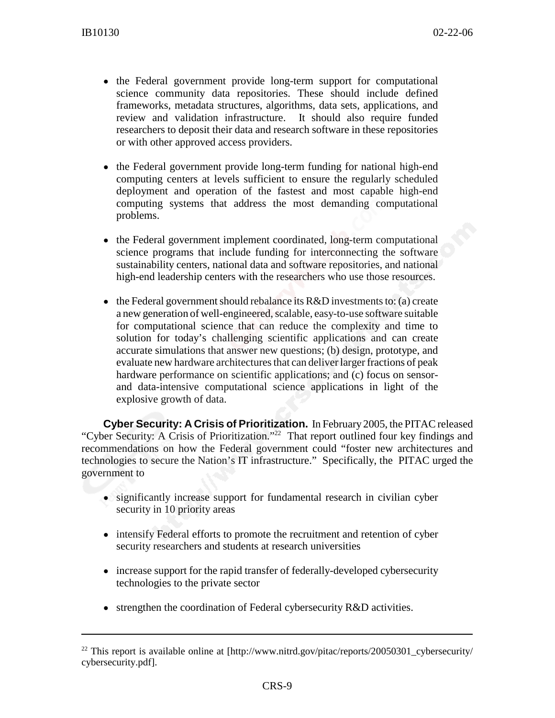- the Federal government provide long-term support for computational science community data repositories. These should include defined frameworks, metadata structures, algorithms, data sets, applications, and review and validation infrastructure. It should also require funded researchers to deposit their data and research software in these repositories or with other approved access providers.
- the Federal government provide long-term funding for national high-end computing centers at levels sufficient to ensure the regularly scheduled deployment and operation of the fastest and most capable high-end computing systems that address the most demanding computational problems.
- the Federal government implement coordinated, long-term computational science programs that include funding for interconnecting the software sustainability centers, national data and software repositories, and national high-end leadership centers with the researchers who use those resources.
- the Federal government should rebalance its  $R&D$  investments to: (a) create a new generation of well-engineered, scalable, easy-to-use software suitable for computational science that can reduce the complexity and time to solution for today's challenging scientific applications and can create accurate simulations that answer new questions; (b) design, prototype, and evaluate new hardware architectures that can deliver larger fractions of peak hardware performance on scientific applications; and (c) focus on sensorand data-intensive computational science applications in light of the explosive growth of data.

**Cyber Security: A Crisis of Prioritization.** In February 2005, the PITAC released "Cyber Security: A Crisis of Prioritization."22 That report outlined four key findings and recommendations on how the Federal government could "foster new architectures and technologies to secure the Nation's IT infrastructure." Specifically, the PITAC urged the government to

- significantly increase support for fundamental research in civilian cyber security in 10 priority areas
- intensify Federal efforts to promote the recruitment and retention of cyber security researchers and students at research universities
- ! increase support for the rapid transfer of federally-developed cybersecurity technologies to the private sector
- strengthen the coordination of Federal cybersecurity R&D activities.

 $22$  This report is available online at [http://www.nitrd.gov/pitac/reports/20050301\_cybersecurity/ cybersecurity.pdf].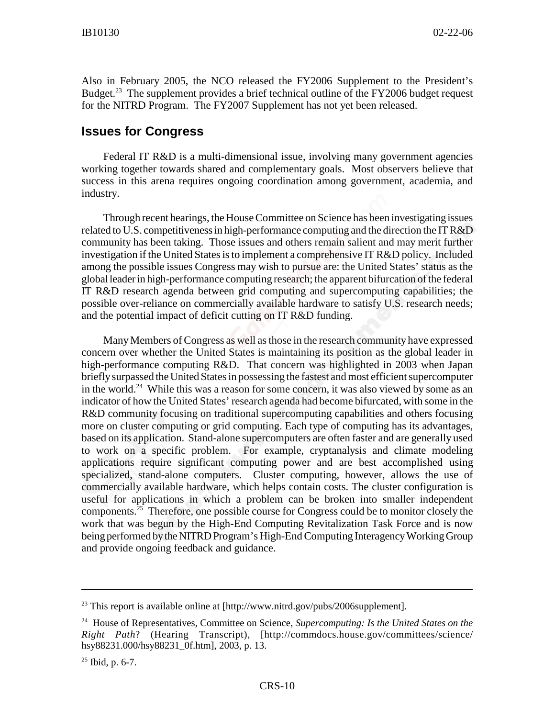Also in February 2005, the NCO released the FY2006 Supplement to the President's Budget.<sup>23</sup> The supplement provides a brief technical outline of the FY2006 budget request for the NITRD Program. The FY2007 Supplement has not yet been released.

#### **Issues for Congress**

Federal IT R&D is a multi-dimensional issue, involving many government agencies working together towards shared and complementary goals. Most observers believe that success in this arena requires ongoing coordination among government, academia, and industry.

Through recent hearings, the House Committee on Science has been investigating issues related to U.S. competitiveness in high-performance computing and the direction the IT R&D community has been taking. Those issues and others remain salient and may merit further investigation if the United States is to implement a comprehensive IT R&D policy. Included among the possible issues Congress may wish to pursue are: the United States' status as the global leader in high-performance computing research; the apparent bifurcation of the federal IT R&D research agenda between grid computing and supercomputing capabilities; the possible over-reliance on commercially available hardware to satisfy U.S. research needs; and the potential impact of deficit cutting on IT R&D funding.

Many Members of Congress as well as those in the research community have expressed concern over whether the United States is maintaining its position as the global leader in high-performance computing R&D. That concern was highlighted in 2003 when Japan briefly surpassed the United States in possessing the fastest and most efficient supercomputer in the world.<sup>24</sup> While this was a reason for some concern, it was also viewed by some as an indicator of how the United States' research agenda had become bifurcated, with some in the R&D community focusing on traditional supercomputing capabilities and others focusing more on cluster computing or grid computing. Each type of computing has its advantages, based on its application. Stand-alone supercomputers are often faster and are generally used to work on a specific problem. For example, cryptanalysis and climate modeling applications require significant computing power and are best accomplished using specialized, stand-alone computers. Cluster computing, however, allows the use of commercially available hardware, which helps contain costs. The cluster configuration is useful for applications in which a problem can be broken into smaller independent components.<sup>25</sup> Therefore, one possible course for Congress could be to monitor closely the work that was begun by the High-End Computing Revitalization Task Force and is now being performed by the NITRD Program's High-End Computing Interagency Working Group and provide ongoing feedback and guidance.

 $^{23}$  This report is available online at [http://www.nitrd.gov/pubs/2006supplement].

<sup>24</sup> House of Representatives, Committee on Science, *Supercomputing: Is the United States on the Right Path*? (Hearing Transcript), [http://commdocs.house.gov/committees/science/ hsy88231.000/hsy88231\_0f.htm], 2003, p. 13.

 $25$  Ibid, p. 6-7.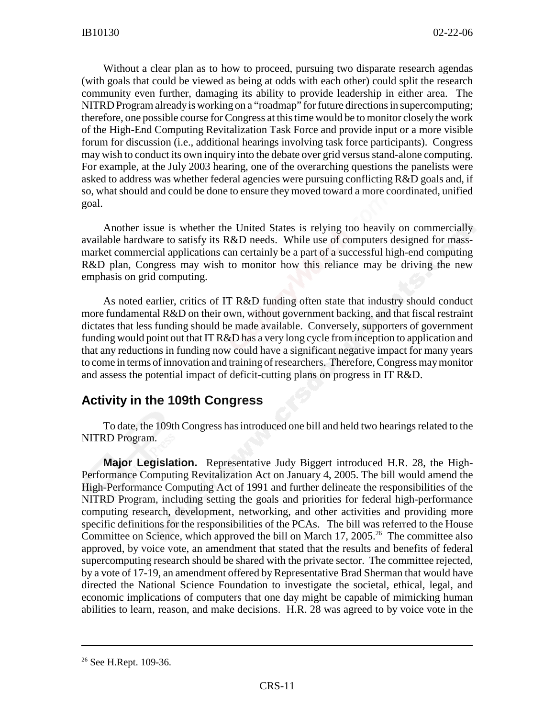Without a clear plan as to how to proceed, pursuing two disparate research agendas (with goals that could be viewed as being at odds with each other) could split the research community even further, damaging its ability to provide leadership in either area. The NITRD Program already is working on a "roadmap" for future directions in supercomputing; therefore, one possible course for Congress at this time would be to monitor closely the work of the High-End Computing Revitalization Task Force and provide input or a more visible forum for discussion (i.e., additional hearings involving task force participants). Congress may wish to conduct its own inquiry into the debate over grid versus stand-alone computing. For example, at the July 2003 hearing, one of the overarching questions the panelists were asked to address was whether federal agencies were pursuing conflicting R&D goals and, if so, what should and could be done to ensure they moved toward a more coordinated, unified goal.

Another issue is whether the United States is relying too heavily on commercially available hardware to satisfy its R&D needs. While use of computers designed for massmarket commercial applications can certainly be a part of a successful high-end computing R&D plan, Congress may wish to monitor how this reliance may be driving the new emphasis on grid computing.

As noted earlier, critics of IT R&D funding often state that industry should conduct more fundamental R&D on their own, without government backing, and that fiscal restraint dictates that less funding should be made available. Conversely, supporters of government funding would point out that IT R&D has a very long cycle from inception to application and that any reductions in funding now could have a significant negative impact for many years to come in terms of innovation and training of researchers. Therefore, Congress may monitor and assess the potential impact of deficit-cutting plans on progress in IT R&D.

#### **Activity in the 109th Congress**

To date, the 109th Congress has introduced one bill and held two hearings related to the NITRD Program.

**Major Legislation.** Representative Judy Biggert introduced H.R. 28, the High-Performance Computing Revitalization Act on January 4, 2005. The bill would amend the High-Performance Computing Act of 1991 and further delineate the responsibilities of the NITRD Program, including setting the goals and priorities for federal high-performance computing research, development, networking, and other activities and providing more specific definitions for the responsibilities of the PCAs. The bill was referred to the House Committee on Science, which approved the bill on March 17, 2005.<sup>26</sup> The committee also approved, by voice vote, an amendment that stated that the results and benefits of federal supercomputing research should be shared with the private sector. The committee rejected, by a vote of 17-19, an amendment offered by Representative Brad Sherman that would have directed the National Science Foundation to investigate the societal, ethical, legal, and economic implications of computers that one day might be capable of mimicking human abilities to learn, reason, and make decisions. H.R. 28 was agreed to by voice vote in the

<sup>&</sup>lt;sup>26</sup> See H.Rept. 109-36.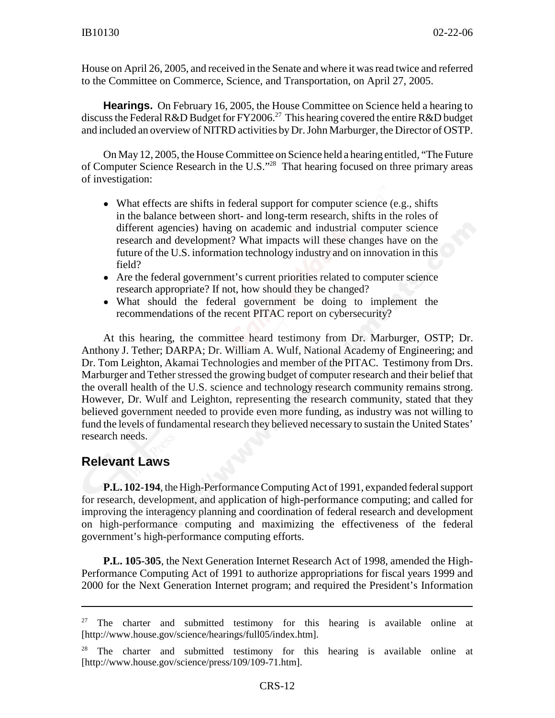House on April 26, 2005, and received in the Senate and where it was read twice and referred to the Committee on Commerce, Science, and Transportation, on April 27, 2005.

**Hearings.** On February 16, 2005, the House Committee on Science held a hearing to discuss the Federal R&D Budget for FY2006.<sup>27</sup> This hearing covered the entire R&D budget and included an overview of NITRD activities by Dr. John Marburger, the Director of OSTP.

On May 12, 2005, the House Committee on Science held a hearing entitled, "The Future of Computer Science Research in the U.S."28 That hearing focused on three primary areas of investigation:

- What effects are shifts in federal support for computer science (e.g., shifts in the balance between short- and long-term research, shifts in the roles of different agencies) having on academic and industrial computer science research and development? What impacts will these changes have on the future of the U.S. information technology industry and on innovation in this field?
- Are the federal government's current priorities related to computer science research appropriate? If not, how should they be changed?
- What should the federal government be doing to implement the recommendations of the recent PITAC report on cybersecurity?

At this hearing, the committee heard testimony from Dr. Marburger, OSTP; Dr. Anthony J. Tether; DARPA; Dr. William A. Wulf, National Academy of Engineering; and Dr. Tom Leighton, Akamai Technologies and member of the PITAC. Testimony from Drs. Marburger and Tether stressed the growing budget of computer research and their belief that the overall health of the U.S. science and technology research community remains strong. However, Dr. Wulf and Leighton, representing the research community, stated that they believed government needed to provide even more funding, as industry was not willing to fund the levels of fundamental research they believed necessary to sustain the United States' research needs.

#### **Relevant Laws**

**P.L. 102-194**, the High-Performance Computing Act of 1991, expanded federal support for research, development, and application of high-performance computing; and called for improving the interagency planning and coordination of federal research and development on high-performance computing and maximizing the effectiveness of the federal government's high-performance computing efforts.

**P.L. 105-305**, the Next Generation Internet Research Act of 1998, amended the High-Performance Computing Act of 1991 to authorize appropriations for fiscal years 1999 and 2000 for the Next Generation Internet program; and required the President's Information

 $27$  The charter and submitted testimony for this hearing is available online at [http://www.house.gov/science/hearings/full05/index.htm].

 $28$  The charter and submitted testimony for this hearing is available online at [http://www.house.gov/science/press/109/109-71.htm].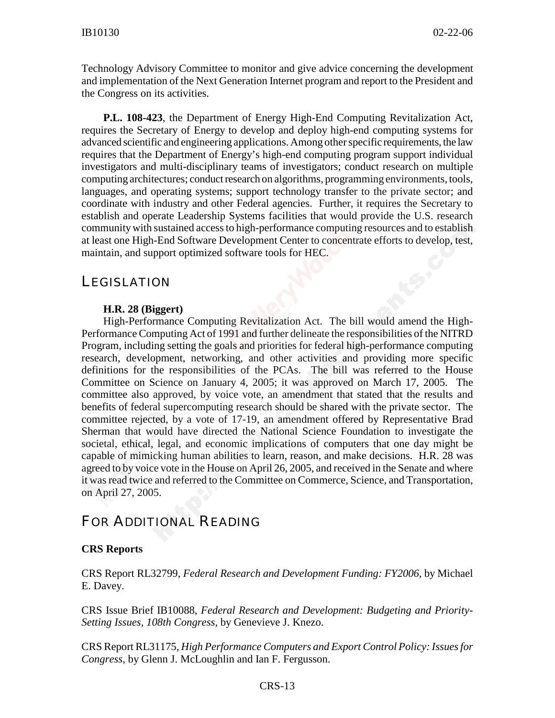Technology Advisory Committee to monitor and give advice concerning the development and implementation of the Next Generation Internet program and report to the President and the Congress on its activities.

**P.L. 108-423**, the Department of Energy High-End Computing Revitalization Act, requires the Secretary of Energy to develop and deploy high-end computing systems for advanced scientific and engineering applications. Among other specific requirements, the law requires that the Department of Energy's high-end computing program support individual investigators and multi-disciplinary teams of investigators; conduct research on multiple computing architectures; conduct research on algorithms, programming environments, tools, languages, and operating systems; support technology transfer to the private sector; and coordinate with industry and other Federal agencies. Further, it requires the Secretary to establish and operate Leadership Systems facilities that would provide the U.S. research community with sustained access to high-performance computing resources and to establish at least one High-End Software Development Center to concentrate efforts to develop, test, maintain, and support optimized software tools for HEC.

## **LEGISLATION**

#### **H.R. 28 (Biggert)**

High-Performance Computing Revitalization Act. The bill would amend the High-Performance Computing Act of 1991 and further delineate the responsibilities of the NITRD Program, including setting the goals and priorities for federal high-performance computing research, development, networking, and other activities and providing more specific definitions for the responsibilities of the PCAs. The bill was referred to the House Committee on Science on January 4, 2005; it was approved on March 17, 2005. The committee also approved, by voice vote, an amendment that stated that the results and benefits of federal supercomputing research should be shared with the private sector. The committee rejected, by a vote of 17-19, an amendment offered by Representative Brad Sherman that would have directed the National Science Foundation to investigate the societal, ethical, legal, and economic implications of computers that one day might be capable of mimicking human abilities to learn, reason, and make decisions. H.R. 28 was agreed to by voice vote in the House on April 26, 2005, and received in the Senate and where it was read twice and referred to the Committee on Commerce, Science, and Transportation, on April 27, 2005.

## FOR ADDITIONAL READING

#### **CRS Reports**

CRS Report RL32799, *Federal Research and Development Funding: FY2006*, by Michael E. Davey.

CRS Issue Brief IB10088, *Federal Research and Development: Budgeting and Priority-Setting Issues, 108th Congress*, by Genevieve J. Knezo.

CRS Report RL31175, *High Performance Computers and Export Control Policy: Issues for Congress*, by Glenn J. McLoughlin and Ian F. Fergusson.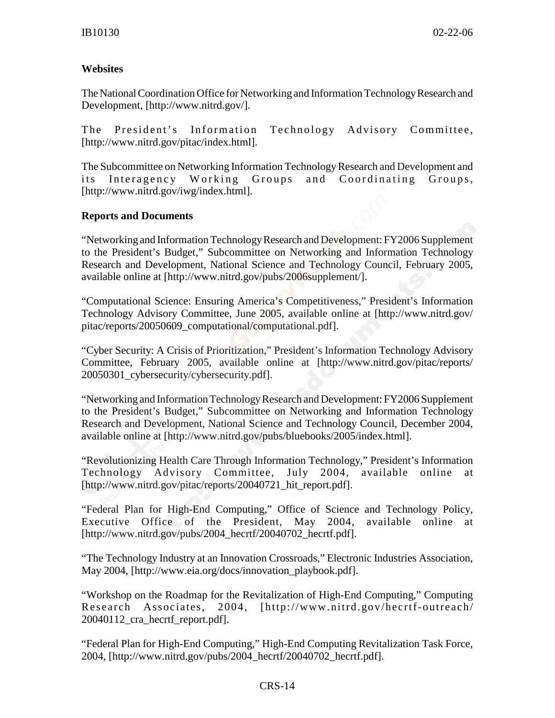#### **Websites**

The National Coordination Office for Networking and Information Technology Research and Development, [http://www.nitrd.gov/].

The President's Information Technology Advisory Committee, [http://www.nitrd.gov/pitac/index.html].

The Subcommittee on Networking Information Technology Research and Development and its Interagency Working Groups and Coordinating Groups, [http://www.nitrd.gov/iwg/index.html].

#### **Reports and Documents**

"Networking and Information Technology Research and Development: FY2006 Supplement to the President's Budget," Subcommittee on Networking and Information Technology Research and Development, National Science and Technology Council, February 2005, available online at [http://www.nitrd.gov/pubs/2006supplement/].

"Computational Science: Ensuring America's Competitiveness," President's Information Technology Advisory Committee, June 2005, available online at [http://www.nitrd.gov/ pitac/reports/20050609\_computational/computational.pdf].

"Cyber Security: A Crisis of Prioritization," President's Information Technology Advisory Committee, February 2005, available online at [http://www.nitrd.gov/pitac/reports/ 20050301\_cybersecurity/cybersecurity.pdf].

"Networking and Information Technology Research and Development: FY2006 Supplement to the President's Budget," Subcommittee on Networking and Information Technology Research and Development, National Science and Technology Council, December 2004, available online at [http://www.nitrd.gov/pubs/bluebooks/2005/index.html].

"Revolutionizing Health Care Through Information Technology," President's Information Technology Advisory Committee, July 2004, available online at [http://www.nitrd.gov/pitac/reports/20040721 hit\_report.pdf].

"Federal Plan for High-End Computing," Office of Science and Technology Policy, Executive Office of the President, May 2004, available online at [http://www.nitrd.gov/pubs/2004\_hecrtf/20040702\_hecrtf.pdf].

"The Technology Industry at an Innovation Crossroads," Electronic Industries Association, May 2004, [http://www.eia.org/docs/innovation\_playbook.pdf].

"Workshop on the Roadmap for the Revitalization of High-End Computing," Computing Research Associates, 2004, [http://www.nitrd.gov/hecrtf-outreach/ 20040112\_cra\_hecrtf\_report.pdf].

"Federal Plan for High-End Computing," High-End Computing Revitalization Task Force, 2004, [http://www.nitrd.gov/pubs/2004\_hecrtf/20040702\_hecrtf.pdf].